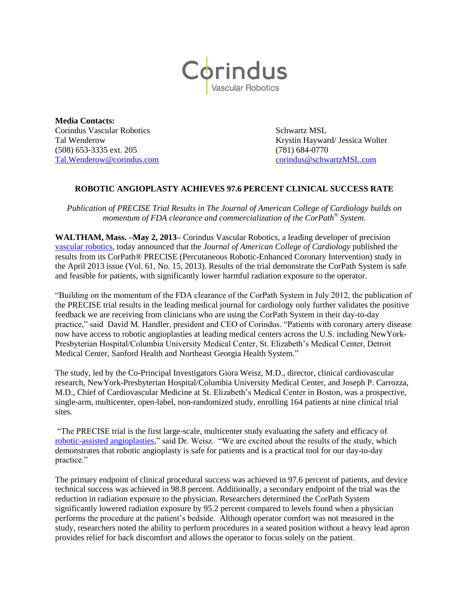

**Media Contacts: Corindus Vascular Robotics** Schwartz MSL (508) 653-3335 ext. 205 (781) 684-0770

Tal Wenderow Krystin Hayward/ Jessica Wolter [Tal.Wenderow@corindus.com](mailto:Tal.Wenderow@corindus.com) [corindus@schwartzMSL.com](mailto:corindus@schwartzMSL.com)

## **ROBOTIC ANGIOPLASTY ACHIEVES 97.6 PERCENT CLINICAL SUCCESS RATE**

*Publication of PRECISE Trial Results in The Journal of American College of Cardiology builds on momentum of FDA clearance and commercialization of the CorPath® System.*

**WALTHAM, Mass. –May 2, 2013–** Corindus Vascular Robotics, a leading developer of precision [vascular robotics,](http://www.corindus.com/Default.aspx) today announced that the *Journal of American College of Cardiology* published the results from its CorPath® PRECISE (Percutaneous Robotic-Enhanced Coronary Intervention) study in the April 2013 issue (Vol. 61, No. 15, 2013). Results of the trial demonstrate the CorPath System is safe and feasible for patients, with significantly lower harmful radiation exposure to the operator.

"Building on the momentum of the FDA clearance of the CorPath System in July 2012, the publication of the PRECISE trial results in the leading medical journal for cardiology only further validates the positive feedback we are receiving from clinicians who are using the CorPath System in their day-to-day practice," said David M. Handler, president and CEO of Corindus. "Patients with coronary artery disease now have access to robotic angioplasties at leading medical centers across the U.S. including NewYork-Presbyterian Hospital/Columbia University Medical Center, St. Elizabeth's Medical Center, Detroit Medical Center, Sanford Health and Northeast Georgia Health System."

The study, led by the Co-Principal Investigators Giora Weisz, M.D., director, clinical cardiovascular research, NewYork-Presbyterian Hospital/Columbia University Medical Center, and Joseph P. Carrozza, M.D., Chief of Cardiovascular Medicine at St. Elizabeth's Medical Center in Boston, was a prospective, single-arm, multicenter, open-label, non-randomized study, enrolling 164 patients at nine clinical trial sites.

"The PRECISE trial is the first large-scale, multicenter study evaluating the safety and efficacy of [robotic-assisted angioplasties,](http://www.corindus.com/patient/aboutcorpath/how-it-works)" said Dr. Weisz. "We are excited about the results of the study, which demonstrates that robotic angioplasty is safe for patients and is a practical tool for our day-to-day practice."

The primary endpoint of clinical procedural success was achieved in 97.6 percent of patients, and device technical success was achieved in 98.8 percent. Additionally, a secondary endpoint of the trial was the reduction in radiation exposure to the physician. Researchers determined the CorPath System significantly lowered radiation exposure by 95.2 percent compared to levels found when a physician performs the procedure at the patient's bedside. Although operator comfort was not measured in the study, researchers noted the ability to perform procedures in a seated position without a heavy lead apron provides relief for back discomfort and allows the operator to focus solely on the patient.